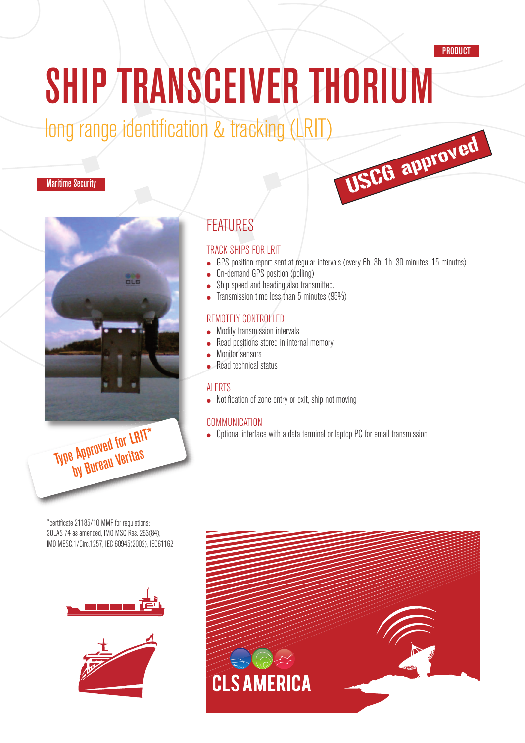#### **PRODUCT**

USCG approved

# SHIP TRANSCEIVER THORIUM

## long range identification & tracking (LRIT)

#### Maritime Security



## FEATURES

#### TRACK SHIPS FOR LRIT

- GPS position report sent at regular intervals (every 6h, 3h, 1h, 30 minutes, 15 minutes).
- On-demand GPS position (polling)
- Ship speed and heading also transmitted.
- Transmission time less than 5 minutes (95%)

#### REMOTELY CONTROLLED

- **Modify transmission intervals**
- Read positions stored in internal memory
- Monitor sensors
- Read technical status

#### ALERTS

● Notification of zone entry or exit, ship not moving

#### COMMUNICATION

• Optional interface with a data terminal or laptop PC for email transmission

\*certificate 21185/1O MMF for regulations: SOLAS 74 as amended, IMO MSC Res. 263(84), IMO MESC.1/Circ.1257, IEC60945(2002), IEC61162.

by Bureau Veritas